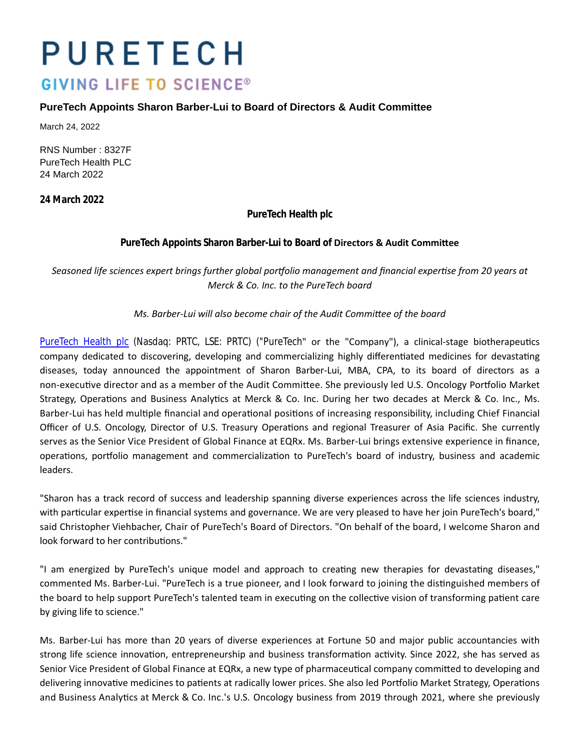# PURETECH **GIVING LIFE TO SCIENCE®**

## **PureTech Appoints Sharon Barber-Lui to Board of Directors & Audit Committee**

March 24, 2022

RNS Number : 8327F PureTech Health PLC 24 March 2022

**24 March 2022**

**PureTech Health plc**

## PureTech Appoints Sharon Barber-Lui to Board of **Directors & Audit Committee**

Seasoned life sciences expert brings further global portfolio management and financial expertise from 20 years at *Merck & Co. Inc. to the PureTech board*

*Ms. Barber-Lui will also become chair of the Audit CommiƩee of the board*

[PureTech Health plc](https://puretechhealth.com/) (Nasdaq: PRTC, LSE: PRTC) ("PureTech" or the "Company"), a clinical-stage biotherapeutics company dedicated to discovering, developing and commercializing highly differentiated medicines for devastating diseases, today announced the appointment of Sharon Barber-Lui, MBA, CPA, to its board of directors as a non-executive director and as a member of the Audit Committee. She previously led U.S. Oncology Portfolio Market Strategy, Operations and Business Analytics at Merck & Co. Inc. During her two decades at Merck & Co. Inc., Ms. Barber-Lui has held multiple financial and operational positions of increasing responsibility, including Chief Financial Officer of U.S. Oncology, Director of U.S. Treasury Operations and regional Treasurer of Asia Pacific. She currently serves as the Senior Vice President of Global Finance at EQRx. Ms. Barber-Lui brings extensive experience in finance, operations, portfolio management and commercialization to PureTech's board of industry, business and academic leaders.

"Sharon has a track record of success and leadership spanning diverse experiences across the life sciences industry, with particular expertise in financial systems and governance. We are very pleased to have her join PureTech's board," said Christopher Viehbacher, Chair of PureTech's Board of Directors. "On behalf of the board, I welcome Sharon and look forward to her contributions."

"I am energized by PureTech's unique model and approach to creating new therapies for devastating diseases," commented Ms. Barber-Lui. "PureTech is a true pioneer, and I look forward to joining the distinguished members of the board to help support PureTech's talented team in executing on the collective vision of transforming patient care by giving life to science."

Ms. Barber-Lui has more than 20 years of diverse experiences at Fortune 50 and major public accountancies with strong life science innovation, entrepreneurship and business transformation activity. Since 2022, she has served as Senior Vice President of Global Finance at EQRx, a new type of pharmaceutical company committed to developing and delivering innovative medicines to patients at radically lower prices. She also led Portfolio Market Strategy, Operations and Business Analytics at Merck & Co. Inc.'s U.S. Oncology business from 2019 through 2021, where she previously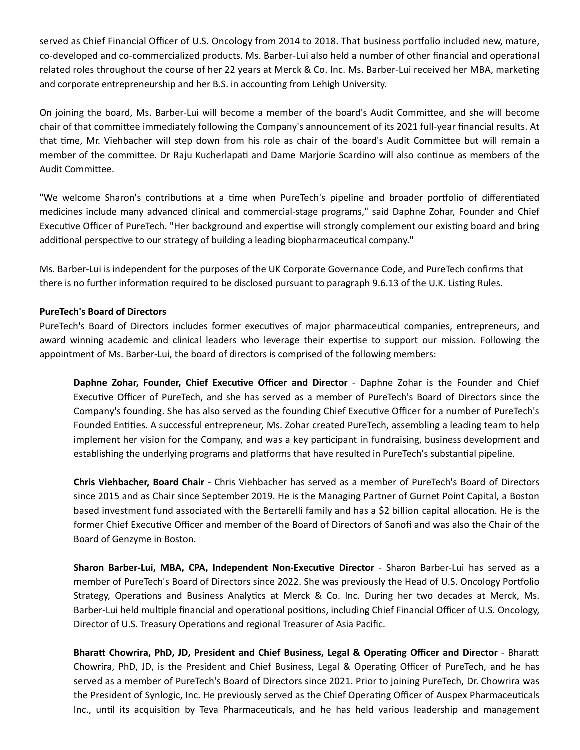served as Chief Financial Officer of U.S. Oncology from 2014 to 2018. That business portfolio included new, mature, co-developed and co-commercialized products. Ms. Barber-Lui also held a number of other financial and operational related roles throughout the course of her 22 years at Merck & Co. Inc. Ms. Barber-Lui received her MBA, marketing and corporate entrepreneurship and her B.S. in accounting from Lehigh University.

On joining the board, Ms. Barber-Lui will become a member of the board's Audit Committee, and she will become chair of that committee immediately following the Company's announcement of its 2021 full-year financial results. At that time, Mr. Viehbacher will step down from his role as chair of the board's Audit Committee but will remain a member of the committee. Dr Raju Kucherlapati and Dame Marjorie Scardino will also continue as members of the Audit Committee.

"We welcome Sharon's contributions at a time when PureTech's pipeline and broader portfolio of differentiated medicines include many advanced clinical and commercial-stage programs," said Daphne Zohar, Founder and Chief Executive Officer of PureTech. "Her background and expertise will strongly complement our existing board and bring additional perspective to our strategy of building a leading biopharmaceutical company."

Ms. Barber-Lui is independent for the purposes of the UK Corporate Governance Code, and PureTech confirms that there is no further information required to be disclosed pursuant to paragraph 9.6.13 of the U.K. Listing Rules.

### **PureTech's Board of Directors**

PureTech's Board of Directors includes former executives of major pharmaceutical companies, entrepreneurs, and award winning academic and clinical leaders who leverage their expertise to support our mission. Following the appointment of Ms. Barber-Lui, the board of directors is comprised of the following members:

**Daphne Zohar, Founder, Chief Executive Officer and Director** - Daphne Zohar is the Founder and Chief Executive Officer of PureTech, and she has served as a member of PureTech's Board of Directors since the Company's founding. She has also served as the founding Chief Executive Officer for a number of PureTech's Founded Entities. A successful entrepreneur, Ms. Zohar created PureTech, assembling a leading team to help implement her vision for the Company, and was a key participant in fundraising, business development and establishing the underlying programs and platforms that have resulted in PureTech's substantial pipeline.

**Chris Viehbacher, Board Chair** - Chris Viehbacher has served as a member of PureTech's Board of Directors since 2015 and as Chair since September 2019. He is the Managing Partner of Gurnet Point Capital, a Boston based investment fund associated with the Bertarelli family and has a \$2 billion capital allocation. He is the former Chief Executive Officer and member of the Board of Directors of Sanofi and was also the Chair of the Board of Genzyme in Boston.

Sharon Barber-Lui, MBA, CPA, Independent Non-Executive Director - Sharon Barber-Lui has served as a member of PureTech's Board of Directors since 2022. She was previously the Head of U.S. Oncology Portfolio Strategy, Operations and Business Analytics at Merck & Co. Inc. During her two decades at Merck, Ms. Barber-Lui held multiple financial and operational positions, including Chief Financial Officer of U.S. Oncology, Director of U.S. Treasury Operations and regional Treasurer of Asia Pacific.

**Bharatt Chowrira, PhD, JD, President and Chief Business, Legal & Operating Officer and Director** - Bharatt Chowrira, PhD, JD, is the President and Chief Business, Legal & Operating Officer of PureTech, and he has served as a member of PureTech's Board of Directors since 2021. Prior to joining PureTech, Dr. Chowrira was the President of Synlogic, Inc. He previously served as the Chief Operating Officer of Auspex Pharmaceuticals Inc., until its acquisition by Teva Pharmaceuticals, and he has held various leadership and management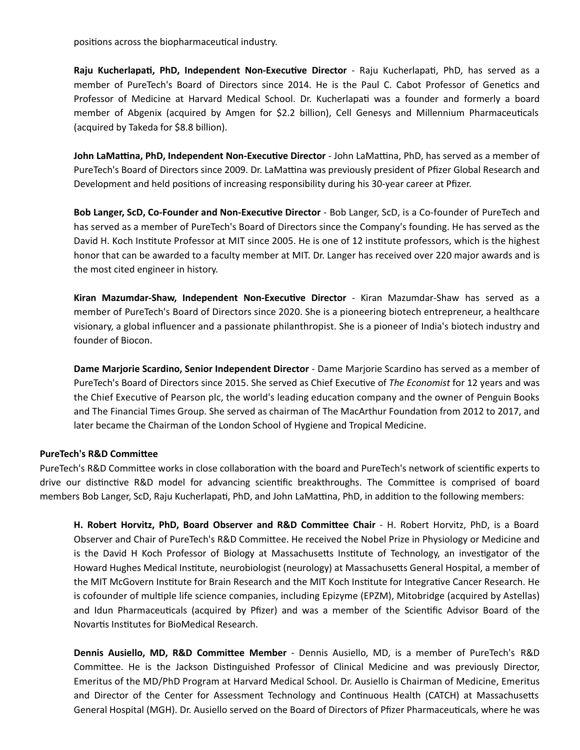positions across the biopharmaceutical industry.

Raju Kucherlapati, PhD, Independent Non-Executive Director - Raju Kucherlapati, PhD, has served as a member of PureTech's Board of Directors since 2014. He is the Paul C. Cabot Professor of Genetics and Professor of Medicine at Harvard Medical School. Dr. Kucherlapati was a founder and formerly a board member of Abgenix (acquired by Amgen for \$2.2 billion), Cell Genesys and Millennium Pharmaceuticals (acquired by Takeda for \$8.8 billion).

John LaMattina, PhD, Independent Non-Executive Director - John LaMattina, PhD, has served as a member of PureTech's Board of Directors since 2009. Dr. LaMattina was previously president of Pfizer Global Research and Development and held positions of increasing responsibility during his 30-year career at Pfizer.

Bob Langer, ScD, Co-Founder and Non-Executive Director - Bob Langer, ScD, is a Co-founder of PureTech and has served as a member of PureTech's Board of Directors since the Company's founding. He has served as the David H. Koch Institute Professor at MIT since 2005. He is one of 12 institute professors, which is the highest honor that can be awarded to a faculty member at MIT. Dr. Langer has received over 220 major awards and is the most cited engineer in history.

Kiran Mazumdar-Shaw, Independent Non-Executive Director - Kiran Mazumdar-Shaw has served as a member of PureTech's Board of Directors since 2020. She is a pioneering biotech entrepreneur, a healthcare visionary, a global influencer and a passionate philanthropist. She is a pioneer of India's biotech industry and founder of Biocon.

**Dame Marjorie Scardino, Senior Independent Director** - Dame Marjorie Scardino has served as a member of PureTech's Board of Directors since 2015. She served as Chief Executive of *The Economist* for 12 years and was the Chief Executive of Pearson plc, the world's leading education company and the owner of Penguin Books and The Financial Times Group. She served as chairman of The MacArthur Foundation from 2012 to 2017, and later became the Chairman of the London School of Hygiene and Tropical Medicine.

#### **PureTech's R&D CommiƩee**

PureTech's R&D Committee works in close collaboration with the board and PureTech's network of scientific experts to drive our distinctive R&D model for advancing scientific breakthroughs. The Committee is comprised of board members Bob Langer, ScD, Raju Kucherlapati, PhD, and John LaMattina, PhD, in addition to the following members:

H. Robert Horvitz, PhD, Board Observer and R&D Committee Chair - H. Robert Horvitz, PhD, is a Board Observer and Chair of PureTech's R&D Committee. He received the Nobel Prize in Physiology or Medicine and is the David H Koch Professor of Biology at Massachusetts Institute of Technology, an investigator of the Howard Hughes Medical Institute, neurobiologist (neurology) at Massachusetts General Hospital, a member of the MIT McGovern Institute for Brain Research and the MIT Koch Institute for Integrative Cancer Research. He is cofounder of multiple life science companies, including Epizyme (EPZM), Mitobridge (acquired by Astellas) and Idun Pharmaceuticals (acquired by Pfizer) and was a member of the Scientific Advisor Board of the Novartis Institutes for BioMedical Research.

**Dennis Ausiello, MD, R&D Committee Member** - Dennis Ausiello, MD, is a member of PureTech's R&D Committee. He is the Jackson Distinguished Professor of Clinical Medicine and was previously Director, Emeritus of the MD/PhD Program at Harvard Medical School. Dr. Ausiello is Chairman of Medicine, Emeritus and Director of the Center for Assessment Technology and Continuous Health (CATCH) at Massachusetts General Hospital (MGH). Dr. Ausiello served on the Board of Directors of Pfizer Pharmaceuticals, where he was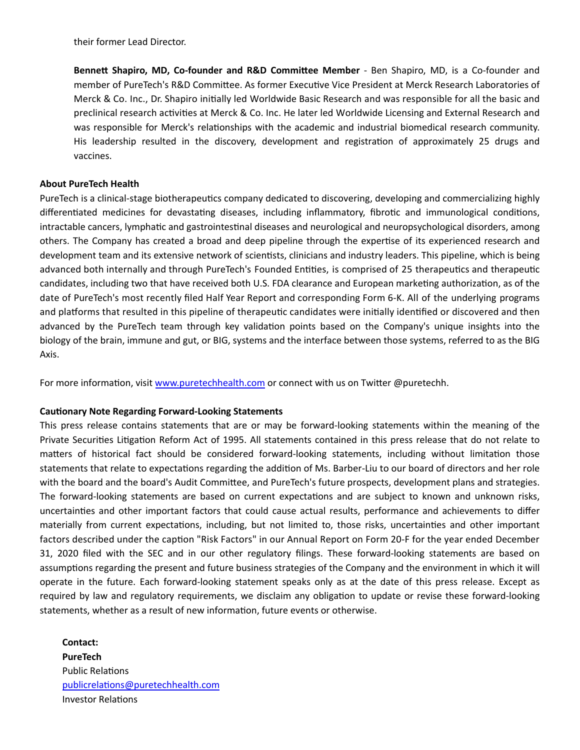their former Lead Director.

**Bennett Shapiro, MD, Co-founder and R&D Committee Member** - Ben Shapiro, MD, is a Co-founder and member of PureTech's R&D Committee. As former Executive Vice President at Merck Research Laboratories of Merck & Co. Inc., Dr. Shapiro initially led Worldwide Basic Research and was responsible for all the basic and preclinical research activities at Merck & Co. Inc. He later led Worldwide Licensing and External Research and was responsible for Merck's relationships with the academic and industrial biomedical research community. His leadership resulted in the discovery, development and registration of approximately 25 drugs and vaccines.

### **About PureTech Health**

PureTech is a clinical-stage biotherapeutics company dedicated to discovering, developing and commercializing highly differentiated medicines for devastating diseases, including inflammatory, fibrotic and immunological conditions, intractable cancers, lymphatic and gastrointestinal diseases and neurological and neuropsychological disorders, among others. The Company has created a broad and deep pipeline through the expertise of its experienced research and development team and its extensive network of scientists, clinicians and industry leaders. This pipeline, which is being advanced both internally and through PureTech's Founded Entities, is comprised of 25 therapeutics and therapeutic candidates, including two that have received both U.S. FDA clearance and European marketing authorization, as of the date of PureTech's most recently filed Half Year Report and corresponding Form 6-K. All of the underlying programs and platforms that resulted in this pipeline of therapeutic candidates were initially identified or discovered and then advanced by the PureTech team through key validation points based on the Company's unique insights into the biology of the brain, immune and gut, or BIG, systems and the interface between those systems, referred to as the BIG Axis.

For more information, visit [www.puretechhealth.com o](http://www.puretechhealth.com/)r connect with us on Twitter @puretechh.

### **Cautionary Note Regarding Forward-Looking Statements**

This press release contains statements that are or may be forward-looking statements within the meaning of the Private Securities Litigation Reform Act of 1995. All statements contained in this press release that do not relate to matters of historical fact should be considered forward-looking statements, including without limitation those statements that relate to expectations regarding the addition of Ms. Barber-Liu to our board of directors and her role with the board and the board's Audit Committee, and PureTech's future prospects, development plans and strategies. The forward-looking statements are based on current expectations and are subject to known and unknown risks, uncertainties and other important factors that could cause actual results, performance and achievements to differ materially from current expectations, including, but not limited to, those risks, uncertainties and other important factors described under the caption "Risk Factors" in our Annual Report on Form 20-F for the year ended December 31, 2020 filed with the SEC and in our other regulatory filings. These forward-looking statements are based on assumptions regarding the present and future business strategies of the Company and the environment in which it will operate in the future. Each forward-looking statement speaks only as at the date of this press release. Except as required by law and regulatory requirements, we disclaim any obligation to update or revise these forward-looking statements, whether as a result of new information, future events or otherwise.

**Contact: PureTech** Public Relations [publicrelaƟons@puretechhealth.com](mailto:publicrelations@puretechhealth.com) Investor Relations